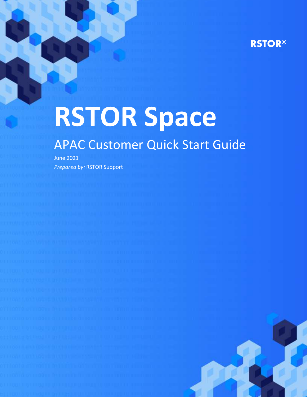# **RSTOR®**

# **RSTOR Space**

# APAC Customer Quick Start Guide

June 2021 *Prepared by:* RSTOR Support

rstor.io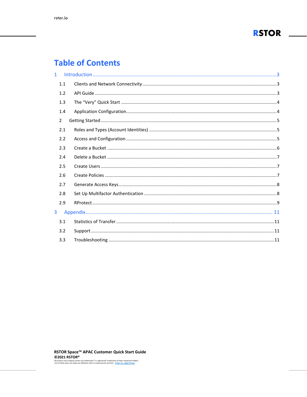

# **Table of Contents**

| $\mathbf{1}$ |               |  |
|--------------|---------------|--|
|              | 1.1           |  |
|              | 1.2           |  |
|              | 1.3           |  |
|              | 1.4           |  |
|              | $\mathcal{P}$ |  |
|              | 2.1           |  |
|              | 2.2           |  |
|              | 2.3           |  |
|              | 2.4           |  |
|              | 2.5           |  |
|              | 2.6           |  |
|              | 2.7           |  |
|              | 2.8           |  |
|              | 2.9           |  |
| 3            |               |  |
|              | 3.1           |  |
|              | 3.2           |  |
|              | 3.3           |  |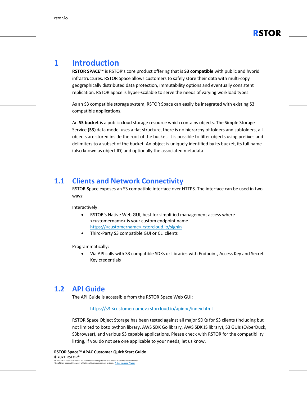

## <span id="page-2-0"></span>**1 Introduction**

**RSTOR SPACE™** is RSTOR's core product offering that is **S3 compatible** with public and hybrid infrastructures. RSTOR Space allows customers to safely store their data with multi-copy geographically distributed data protection, immutability options and eventually consistent replication. RSTOR Space is hyper-scalable to serve the needs of varying workload types.

As an S3 compatible storage system, RSTOR Space can easily be integrated with existing S3 compatible applications.

An **S3 bucket** is a public cloud storage resource which contains objects. The Simple Storage Service **(S3)** data model uses a flat structure, there is no hierarchy of folders and subfolders, all objects are stored inside the root of the bucket. It is possible to filter objects using prefixes and delimiters to a subset of the bucket. An object is uniquely identified by its bucket, its full name (also known as object ID) and optionally the associated metadata.

#### <span id="page-2-1"></span>**1.1 Clients and Network Connectivity**

RSTOR Space exposes an S3 compatible interface over HTTPS. The interface can be used in two ways:

Interactively:

- RSTOR's Native Web GUI, best for simplified management access where <customername> is your custom endpoint name. https://<customername>.rstorcloud.io/signin
- Third-Party S3 compatible GUI or CLI clients

Programmatically:

• Via API calls with S3 compatible SDKs or libraries with Endpoint, Access Key and Secret Key credentials

#### <span id="page-2-2"></span>**1.2 API Guide**

The API Guide is accessible from the RSTOR Space Web GUI:

#### https://s3.<customername>.rstorcloud.io/apidoc/index.html

RSTOR Space Object Storage has been tested against all major SDKs for S3 clients (including but not limited to boto python library, AWS SDK Go library, AWS SDK JS library), S3 GUIs (CyberDuck, S3browser), and various S3 capable applications. Please check with RSTOR for the compatibility listing, if you do not see one applicable to your needs, let us know.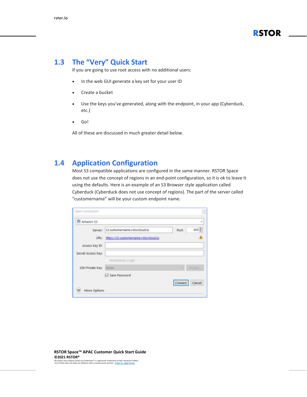

#### <span id="page-3-0"></span>**1.3 The "Very" Quick Start**

If you are going to use root access with no additional users:

- In the web GUI generate a key set for your user ID
- Create a bucket
- Use the keys you've generated, along with the endpoint, in your app (Cyberduck, etc.)
- Go!

All of these are discussed in much greater detail below.

#### <span id="page-3-1"></span>**1.4 Application Configuration**

Most S3 compatible applications are configured in the same manner. RSTOR Space does not use the concept of regions in an end-point configuration, so it is ok to leave it using the defaults. Here is an example of an S3 Browser style application called Cyberduck (Cyberduck does not use concept of regions). The part of the server called "customername" will be your custom endpoint name.

| Amazon S3          |                                       |         | $\sim$ |
|--------------------|---------------------------------------|---------|--------|
| Server:            | s3.customername.rstorcloud.io         | Port    | 443    |
| LIRL:              | https://s3.customername.rstorcloud.ig |         |        |
| Access Key ID:     |                                       |         |        |
| Secret Access Key: |                                       |         |        |
|                    | Filmonymous Login                     |         |        |
| SSH Private Key:   | None                                  |         | Choors |
|                    | Save Password                         |         |        |
|                    |                                       | Connect | Cancel |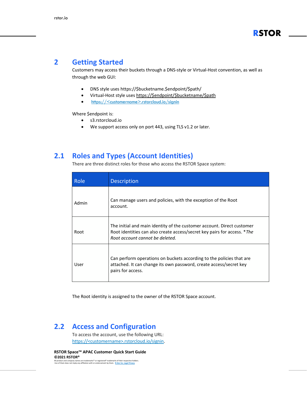#### <span id="page-4-0"></span>**2 Getting Started**

Customers may access their buckets through a DNS-style or Virtual-Host convention, as well as through the web GUI:

- DNS style uses https://\$bucketname.\$endpoint/\$path/
- Virtual-Host style uses [https://\\$endpoint/\\$bucketname/\\$path](https://$endpoint/$bucketname/$path)
- https://<customername>.rstorcloud.io/signin

Where \$endpoint is:

- s3.rstorcloud.io
- We support access only on port 443, using TLS v1.2 or later.

#### <span id="page-4-1"></span>**2.1 Roles and Types (Account Identities)**

There are three distinct roles for those who access the RSTOR Space system:

| Role  | <b>Description</b>                                                                                                                                                                    |
|-------|---------------------------------------------------------------------------------------------------------------------------------------------------------------------------------------|
| Admin | Can manage users and policies, with the exception of the Root<br>account.                                                                                                             |
| Root  | The initial and main identity of the customer account. Direct customer<br>Root identities can also create access/secret key pairs for access. *The<br>Root account cannot be deleted. |
| User  | Can perform operations on buckets according to the policies that are<br>attached. It can change its own password, create access/secret key<br>pairs for access.                       |

The Root identity is assigned to the owner of the RSTOR Space account.

#### <span id="page-4-2"></span>**2.2 Access and Configuration**

To access the account, use the following URL: https://<customername>.rstorcloud.io/signin.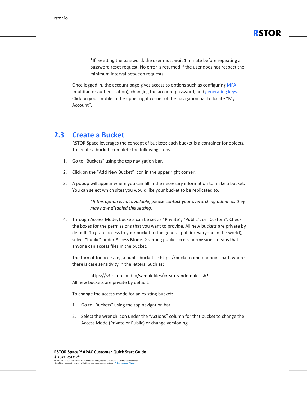\*If resetting the password, the user must wait 1 minute before repeating a password reset request. No error is returned if the user does not respect the minimum interval between requests.

**RSTOR**

Once logged in, the account page gives access to options such as configuring [MFA](#page-7-2) (multifactor [authentication\),](#page-7-2) changing the account password, and [generating](#page-7-0) keys. Click on your profile in the upper right corner of the navigation bar to locate "My Account".

#### <span id="page-5-0"></span>**2.3 Create a Bucket**

RSTOR Space leverages the concept of buckets: each bucket is a container for objects. To create a bucket, complete the following steps.

- 1. Go to "Buckets" using the top navigation bar.
- 2. Click on the "Add New Bucket" icon in the upper right corner.
- 3. A popup will appear where you can fill in the necessary information to make a bucket. You can select which sites you would like your bucket to be replicated to.

*\*If this option is not available, please contact your overarching admin as they may have disabled this setting.*

4. Through Access Mode, buckets can be set as "Private", "Public", or "Custom". Check the boxes for the permissions that you want to provide. All new buckets are private by default. To grant access to your bucket to the general public (everyone in the world), select "Public" under Access Mode. Granting public access permissions means that anyone can access files in the bucket.

The format for accessing a public bucket is: https://bucketname.endpoint.path where there is case sensitivity in the letters. Such as:

[https://s3.rstorcloud.io/samplefiles/createrandomfiles.sh\\*](https://s3.rstorcloud.io/samplefiles/createrandomfiles.sh)

All new buckets are private by default.

To change the access mode for an existing bucket:

- 1. Go to "Buckets" using the top navigation bar.
- 2. Select the wrench icon under the "Actions" column for that bucket to change the Access Mode (Private or Public) or change versioning.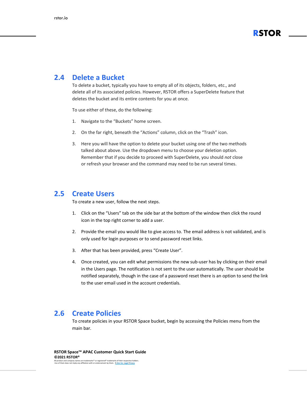

#### <span id="page-6-0"></span>**2.4 Delete a Bucket**

To delete a bucket, typically you have to empty all of its objects, folders, etc., and delete all of its associated policies. However, RSTOR offers a SuperDelete feature that deletes the bucket and its entire contents for you at once.

To use either of these, do the following:

- 1. Navigate to the "Buckets" home screen.
- 2. On the far right, beneath the "Actions" column, click on the "Trash" icon.
- 3. Here you will have the option to delete your bucket using one of the two methods talked about above. Use the dropdown menu to choose your deletion option. Remember that if you decide to proceed with SuperDelete, you should *not* close or refresh your browser and the command may need to be run several times.

#### <span id="page-6-1"></span>**2.5 Create Users**

To create a new user, follow the next steps.

- 1. Click on the "Users" tab on the side bar at the bottom of the window then click the round icon in the top right corner to add a user.
- 2. Provide the email you would like to give access to. The email address is not validated, and is only used for login purposes or to send password reset links.
- 3. After that has been provided, press "Create User".
- 4. Once created, you can edit what permissions the new sub-user has by clicking on their email in the Users page. The notification is not sent to the user automatically. The user should be notified separately, though in the case of a password reset there is an option to send the link to the user email used in the account credentials.

#### <span id="page-6-2"></span>**2.6 Create Policies**

To create policies in your RSTOR Space bucket, begin by accessing the Policies menu from the main bar.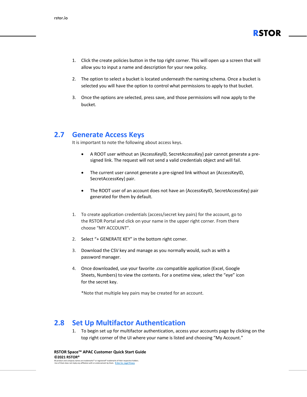

- 1. Click the create policies button in the top right corner. This will open up a screen that will allow you to input a name and description for your new policy.
- 2. The option to select a bucket is located underneath the naming schema. Once a bucket is selected you will have the option to control what permissions to apply to that bucket.
- 3. Once the options are selected, press save, and those permissions will now apply to the bucket.

#### <span id="page-7-0"></span>**2.7 Generate Access Keys**

It is important to note the following about access keys.

- A ROOT user without an {AccessKeyID, SecretAccessKey} pair cannot generate a presigned link. The request will not send a valid credentials object and will fail.
- The current user cannot generate a pre-signed link without an {AccessKeyID, SecretAccessKey} pair.
- The ROOT user of an account does not have an {AccessKeyID, SecretAccessKey} pair generated for them by default.
- 1. To create application credentials (access/secret key pairs) for the account, go to the RSTOR Portal and click on your name in the upper right corner. From there choose "MY ACCOUNT".
- 2. Select "+ GENERATE KEY" in the bottom right corner.
- 3. Download the CSV key and manage as you normally would, such as with a password manager.
- 4. Once downloaded, use your favorite .csv compatible application (Excel, Google Sheets, Numbers) to view the contents. For a onetime view, select the "eye" icon for the secret key.

\*Note that multiple key pairs may be created for an account.

#### <span id="page-7-1"></span>**2.8 Set Up Multifactor Authentication**

<span id="page-7-2"></span>1. To begin set up for multifactor authentication, access your accounts page by clicking on the top right corner of the UI where your name is listed and choosing "My Account."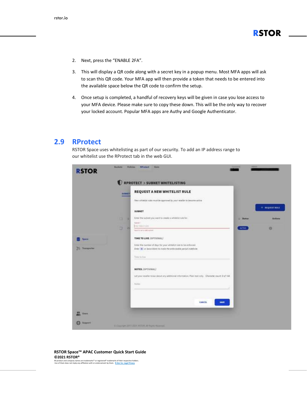- 2. Next, press the "ENABLE 2FA".
- 3. This will display a QR code along with a secret key in a popup menu. Most MFA apps will ask to scan this QR code. Your MFA app will then provide a token that needs to be entered into the available space below the QR code to confirm the setup.
- 4. Once setup is completed, a handful of recovery keys will be given in case you lose access to your MFA device. Please make sure to copy these down. This will be the only way to recover your locked account. Popular MFA apps are Authy and Google Authenticator.

#### <span id="page-8-0"></span>**2.9 RProtect**

RSTOR Space uses whitelisting as part of our security. To add an IP address range to our whitelist use the RProtect tab in the web GUI.

|                                       | SUBSET | <b>RPROTECT &gt; SUBNET WHITELISTING</b><br>REQUEST A NEW WHITELIST RULE                                                                                                         |               |                         |
|---------------------------------------|--------|----------------------------------------------------------------------------------------------------------------------------------------------------------------------------------|---------------|-------------------------|
|                                       |        | New whitelist rules must be approved by your resulter to become active<br>동생은 아이들은 아이들이 아이들이 없었다.                                                                                |               |                         |
|                                       |        | SUBNET                                                                                                                                                                           |               | $+$ <b>NEQUEST NULL</b> |
|                                       | u<br>o | Enter the subret you want to create a whitefail rule for                                                                                                                         | Sharker<br>٠  | <b>Actions</b>          |
|                                       | ø<br>и | <b>Gallery</b><br>TELTIBILVIN<br>Records her at called subject                                                                                                                   | <b>ACTIVE</b> | ö                       |
| <b>System</b>                         |        | TIME TO LIVE (OPTIONAL)                                                                                                                                                          |               |                         |
| <b><i><u>Statements</u></i></b><br>29 |        | Enter the number of days for your whitelist nile to be enforced.<br>Enter [#] or leave himst to inplie the enforceable period indefinite:                                        |               |                         |
|                                       |        | Time in line                                                                                                                                                                     |               |                         |
|                                       |        | NOTES (OPTIONAL)                                                                                                                                                                 |               |                         |
|                                       |        | Let your reseller know about any additional information. Plan text only. Cherotter caunt 0 of 144.<br><u> 1959 - Francisco Maria Antonio Maria Antonio Antonio III (</u><br>anos |               |                         |
|                                       |        | None                                                                                                                                                                             |               |                         |
|                                       |        | CANCEL<br><b>SAVE</b>                                                                                                                                                            |               |                         |
|                                       |        |                                                                                                                                                                                  |               |                         |

#### **RSTOR Space™ APAC Customer Quick Start Guide ©2021 RSTOR®**

All product and company names are trademarks™ or registered® trademarks of their respective holders. Use of them does not imply any affiliation with or endorsement by them. **[R-Stor Inc. Legal Privacy](https://www.rstor.io/legal-privacy/)**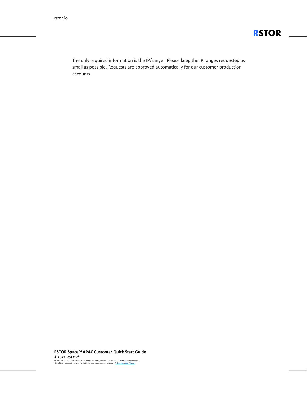

The only required information is the IP/range. Please keep the IP ranges requested as small as possible. Requests are approved automatically for our customer production accounts.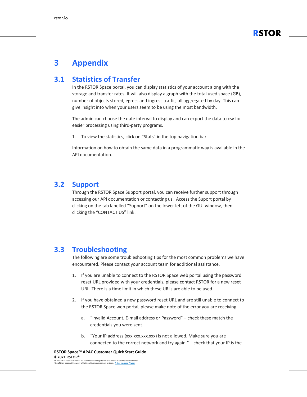

### <span id="page-10-0"></span>**3 Appendix**

#### <span id="page-10-1"></span>**3.1 Statistics of Transfer**

In the RSTOR Space portal, you can display statistics of your account along with the storage and transfer rates. It will also display a graph with the total used space (GB), number of objects stored, egress and ingress traffic, all aggregated by day. This can give insight into when your users seem to be using the most bandwidth.

The admin can choose the date interval to display and can export the data to csv for easier processing using third-party programs.

1. To view the statistics, click on "Stats" in the top navigation bar.

Information on how to obtain the same data in a programmatic way is available in the API documentation.

#### <span id="page-10-2"></span>**3.2 Support**

Through the RSTOR Space Support portal, you can receive further support through accessing our API documentation or contacting us. Access the Suport portal by clicking on the tab labelled "Support" on the lower left of the GUI window, then clicking the "CONTACT US" link.

#### <span id="page-10-3"></span>**3.3 Troubleshooting**

The following are some troubleshooting tips for the most common problems we have encountered. Please contact your account team for additional assistance.

- 1. If you are unable to connect to the RSTOR Space web portal using the password reset URL provided with your credentials, please contact RSTOR for a new reset URL. There is a time limit in which these URLs are able to be used.
- 2. If you have obtained a new password reset URL and are still unable to connect to the RSTOR Space web portal, please make note of the error you are receiving.
	- a. "invalid Account, E-mail address or Password" check these match the credentials you were sent.
	- b. "Your IP address (xxx.xxx.xxx.xxx) is not allowed. Make sure you are connected to the correct network and try again." – check that your IP is the